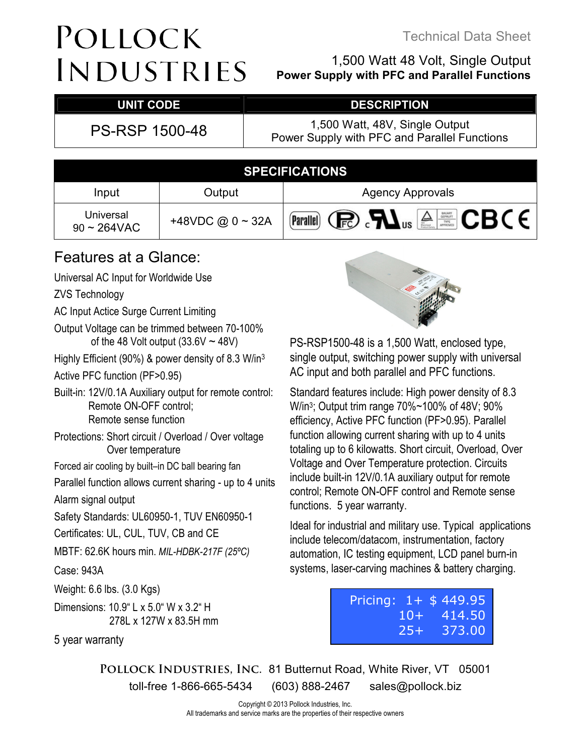### Technical Data Sheet

# POLLOCK INDUSTRIES

### 1,500 Watt 48 Volt, Single Output **Power Supply with PFC and Parallel Functions**

## UNIT CODE DESCRIPTION

PS-RSP 1500-48 1,500 Watt, 48V, Single Output Power Supply with PFC and Parallel Functions

| <b>SPECIFICATIONS</b>                 |              |                                                                                                                                                                                       |  |  |  |
|---------------------------------------|--------------|---------------------------------------------------------------------------------------------------------------------------------------------------------------------------------------|--|--|--|
| Input                                 | Output       | <b>Agency Approvals</b>                                                                                                                                                               |  |  |  |
| Universal<br>$90 \sim 264 \text{VAC}$ | +48VDC@0~32A | <b>Parallel)</b> $\bigcirc$ $\bigcirc$ $\bigcirc$ $\bigcirc$ $\bigcirc$ $\bigcirc$ $\bigcirc$ $\bigcirc$ $\bigcirc$ $\bigcirc$ $\bigcirc$ $\bigcirc$ $\bigcirc$ $\bigcirc$ $\bigcirc$ |  |  |  |

## Features at a Glance:

Universal AC Input for Worldwide Use

ZVS Technology

- AC Input Actice Surge Current Limiting
- Output Voltage can be trimmed between 70-100% of the 48 Volt output  $(33.6V \sim 48V)$
- Highly Efficient (90%) & power density of 8.3 W/in<sup>3</sup>
- Active PFC function (PF>0.95)
- Built-in: 12V/0.1A Auxiliary output for remote control: Remote ON-OFF control; Remote sense function
- Protections: Short circuit / Overload / Over voltage Over temperature
- Forced air cooling by built–in DC ball bearing fan

Parallel function allows current sharing - up to 4 units Alarm signal output

Safety Standards: UL60950-1, TUV EN60950-1

Certificates: UL, CUL, TUV, CB and CE

MBTF: 62.6K hours min. *MIL-HDBK-217F (25ºC)* 

Case: 943A

Weight: 6.6 lbs. (3.0 Kgs)

Dimensions: 10.9" L x 5.0" W x 3.2" H 278L x 127W x 83.5H mm

5 year warranty



PS-RSP1500-48 is a 1,500 Watt, enclosed type, single output, switching power supply with universal AC input and both parallel and PFC functions.

Standard features include: High power density of 8.3 W/in<sup>3</sup> ; Output trim range 70%~100% of 48V; 90% efficiency, Active PFC function (PF>0.95). Parallel function allowing current sharing with up to 4 units totaling up to 6 kilowatts. Short circuit, Overload, Over Voltage and Over Temperature protection. Circuits include built-in 12V/0.1A auxiliary output for remote control; Remote ON-OFF control and Remote sense functions. 5 year warranty.

Ideal for industrial and military use. Typical applications include telecom/datacom, instrumentation, factory automation, IC testing equipment, LCD panel burn-in systems, laser-carving machines & battery charging.

|        | Pricing: 1+ \$449.95 |
|--------|----------------------|
|        | $10 + 414.50$        |
| $25 +$ | 373.00               |

**Pollock Industries, Inc.** 81 Butternut Road, White River, VT 05001 toll-free 1-866-665-5434 (603) 888-2467 sales@pollock.biz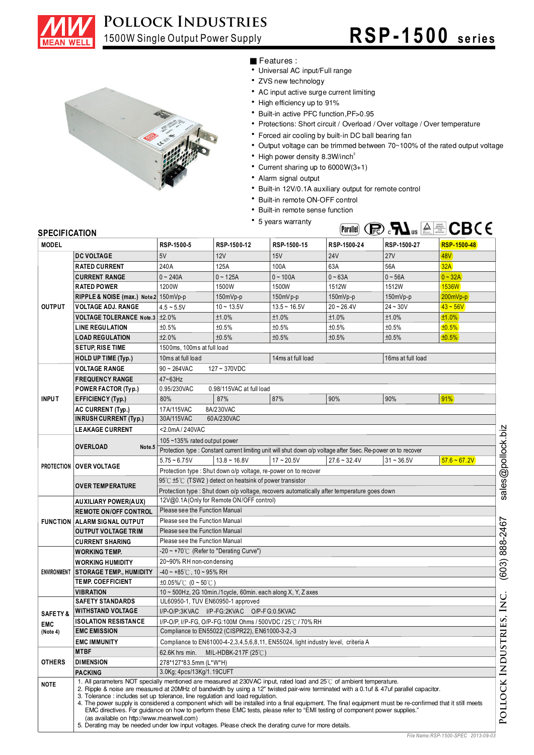

# **Pollock Industries,**

# 1500W Single Output Power Supply **RSP -1500** series



#### ■ Features :

- Universal AC input/Full range
- ZVS new technology
- AC input active surge current limiting
- High efficiency up to 91%
- ‧ Built-in active PFC function, PF>0.95
- Protections: Short circuit / Overload / Over voltage / Over temperature
- ‧ Forced air cooling by built-in DC ball bearing fan
- $\ddot{\phantom{0}}$ Output voltage can be trimmed between 70~100% of the rated output voltage
- ‧ High power density 8.3W/inch
- ‧ Current sharing up to 6000W(3+1)
- Alarm signal output
- ‧ Built-in 12V/0.1A auxiliary output for remote control
- ‧ Built-in remote ON-OFF control
- Built-in remote sense function
- 5 years warranty



| <b>SPECIFICATION</b> |                                                                                                                                                                                                                                                                                                                                                                                                                                                                                                                                                                                                                                                                                                                                                                                                            |                                                                                                                                               |                                                                 | • 5 years warranty |                |              | (Fig. $\mathbf{M}_{\mathrm{us}}$ $\triangleq$ $\mathbf{S}$ $\mathbf{C}$ $\mathbf{B}$ ( $\in$ |
|----------------------|------------------------------------------------------------------------------------------------------------------------------------------------------------------------------------------------------------------------------------------------------------------------------------------------------------------------------------------------------------------------------------------------------------------------------------------------------------------------------------------------------------------------------------------------------------------------------------------------------------------------------------------------------------------------------------------------------------------------------------------------------------------------------------------------------------|-----------------------------------------------------------------------------------------------------------------------------------------------|-----------------------------------------------------------------|--------------------|----------------|--------------|----------------------------------------------------------------------------------------------|
| <b>MODEL</b>         |                                                                                                                                                                                                                                                                                                                                                                                                                                                                                                                                                                                                                                                                                                                                                                                                            | RSP-1500-5                                                                                                                                    | RSP-1500-12                                                     | RSP-1500-15        | RSP-1500-24    | RSP-1500-27  | RSP-1500-48                                                                                  |
|                      | <b>DC VOLTAGE</b>                                                                                                                                                                                                                                                                                                                                                                                                                                                                                                                                                                                                                                                                                                                                                                                          | 5V                                                                                                                                            | 12V                                                             | 15V                | <b>24V</b>     | <b>27V</b>   | 48V)                                                                                         |
|                      | <b>RATED CURRENT</b>                                                                                                                                                                                                                                                                                                                                                                                                                                                                                                                                                                                                                                                                                                                                                                                       | 240A                                                                                                                                          | 125A                                                            | 100A               | 63A            | 56A          | 32A                                                                                          |
|                      | <b>CURRENT RANGE</b>                                                                                                                                                                                                                                                                                                                                                                                                                                                                                                                                                                                                                                                                                                                                                                                       | $0 - 240A$                                                                                                                                    | $0 - 125A$                                                      | $0 - 100A$         | $0 - 63A$      | $0 - 56A$    | $0 - 32A$                                                                                    |
|                      | <b>RATED POWER</b>                                                                                                                                                                                                                                                                                                                                                                                                                                                                                                                                                                                                                                                                                                                                                                                         | 1200W                                                                                                                                         | 1500W                                                           | 1500W              | 1512W          | 1512W        | <b>1536W</b>                                                                                 |
|                      | RIPPLE & NOISE (max.) Note 2 150 mVp-p                                                                                                                                                                                                                                                                                                                                                                                                                                                                                                                                                                                                                                                                                                                                                                     |                                                                                                                                               | $150mVp-p$                                                      | 150mV p-p          | $150mVp-p$     | 150mVp-p     | $200mVp-p$                                                                                   |
| <b>OUTPUT</b>        | <b>VOLTAGE ADJ. RANGE</b>                                                                                                                                                                                                                                                                                                                                                                                                                                                                                                                                                                                                                                                                                                                                                                                  | $4.5 - 5.5V$                                                                                                                                  | $10 - 13.5V$                                                    | $13.5 - 16.5V$     | $20 - 26.4V$   | $24 - 30V$   | $43 - 56V$                                                                                   |
|                      | VOLTAGE TOLERANCE Note.3 ± 2.0%                                                                                                                                                                                                                                                                                                                                                                                                                                                                                                                                                                                                                                                                                                                                                                            |                                                                                                                                               | ±1.0%                                                           | ±1.0%              | ±1.0%          | ±1.0%        | ±1.0%                                                                                        |
|                      | <b>LINE REGULATION</b>                                                                                                                                                                                                                                                                                                                                                                                                                                                                                                                                                                                                                                                                                                                                                                                     | ±0.5%                                                                                                                                         | ±0.5%                                                           | ±0.5%              | ±0.5%          | ±0.5%        | ±0.5%                                                                                        |
|                      | <b>LOAD REGULATION</b>                                                                                                                                                                                                                                                                                                                                                                                                                                                                                                                                                                                                                                                                                                                                                                                     | ±2.0%                                                                                                                                         | ±0.5%                                                           | ±0.5%              | ±0.5%          | ±0.5%        | ±0.5%                                                                                        |
|                      | <b>SETUP, RISE TIME</b>                                                                                                                                                                                                                                                                                                                                                                                                                                                                                                                                                                                                                                                                                                                                                                                    | 1500ms, 100ms at full load                                                                                                                    |                                                                 |                    |                |              |                                                                                              |
|                      | <b>HOLD UP TIME (Typ.)</b>                                                                                                                                                                                                                                                                                                                                                                                                                                                                                                                                                                                                                                                                                                                                                                                 | 10ms at full load<br>14ms at full load<br>16ms at full load                                                                                   |                                                                 |                    |                |              |                                                                                              |
|                      | <b>VOLTAGE RANGE</b>                                                                                                                                                                                                                                                                                                                                                                                                                                                                                                                                                                                                                                                                                                                                                                                       | $90 \sim 264$ VAC<br>$127 - 370VDC$                                                                                                           |                                                                 |                    |                |              |                                                                                              |
|                      | <b>FREQUENCY RANGE</b>                                                                                                                                                                                                                                                                                                                                                                                                                                                                                                                                                                                                                                                                                                                                                                                     |                                                                                                                                               |                                                                 |                    |                |              |                                                                                              |
|                      | POWER FACTOR (Typ.)                                                                                                                                                                                                                                                                                                                                                                                                                                                                                                                                                                                                                                                                                                                                                                                        | 47~63Hz<br>0.95/230VAC<br>0.98/115VAC at full load                                                                                            |                                                                 |                    |                |              |                                                                                              |
| <b>INPUT</b>         | <b>EFFICIENCY (Typ.)</b>                                                                                                                                                                                                                                                                                                                                                                                                                                                                                                                                                                                                                                                                                                                                                                                   | 80%                                                                                                                                           | 87%                                                             | 87%                | 90%            | 90%          | 91%                                                                                          |
|                      | AC CURRENT (Typ.)                                                                                                                                                                                                                                                                                                                                                                                                                                                                                                                                                                                                                                                                                                                                                                                          | 17A/115VAC                                                                                                                                    | 8A/230VAC                                                       |                    |                |              |                                                                                              |
|                      | <b>INRUSH CURRENT (Typ.)</b>                                                                                                                                                                                                                                                                                                                                                                                                                                                                                                                                                                                                                                                                                                                                                                               | 30A/115VAC                                                                                                                                    | 60A/230VAC                                                      |                    |                |              |                                                                                              |
|                      | <b>LEAKAGE CURRENT</b>                                                                                                                                                                                                                                                                                                                                                                                                                                                                                                                                                                                                                                                                                                                                                                                     | <2.0mA / 240VAC                                                                                                                               |                                                                 |                    |                |              |                                                                                              |
|                      |                                                                                                                                                                                                                                                                                                                                                                                                                                                                                                                                                                                                                                                                                                                                                                                                            |                                                                                                                                               |                                                                 |                    |                |              |                                                                                              |
|                      | <b>OVERLOAD</b><br>Note.5                                                                                                                                                                                                                                                                                                                                                                                                                                                                                                                                                                                                                                                                                                                                                                                  | 105~135% rated output power<br>Protection type : Constant current limiting unit will shut down o/p voltage after 5sec. Re-power on to recover |                                                                 |                    |                |              |                                                                                              |
|                      |                                                                                                                                                                                                                                                                                                                                                                                                                                                                                                                                                                                                                                                                                                                                                                                                            | $5.75 - 6.75V$                                                                                                                                | $13.8 - 16.8V$                                                  | $17 - 20.5V$       | $27.6 - 32.4V$ | $31 - 36.5V$ | $57.6 - 67.2V$                                                                               |
|                      | <b>PROTECTION   OVER VOLTAGE</b>                                                                                                                                                                                                                                                                                                                                                                                                                                                                                                                                                                                                                                                                                                                                                                           |                                                                                                                                               | Protection type : Shut down o/p voltage, re-power on to recover |                    |                |              |                                                                                              |
|                      |                                                                                                                                                                                                                                                                                                                                                                                                                                                                                                                                                                                                                                                                                                                                                                                                            | 95℃ ±5℃ (TSW2) detect on heatsink of power transistor                                                                                         |                                                                 |                    |                |              |                                                                                              |
|                      | <b>OVER TEMPERATURE</b>                                                                                                                                                                                                                                                                                                                                                                                                                                                                                                                                                                                                                                                                                                                                                                                    | Protection type : Shut down o/p voltage, recovers automatically after temperature goes down                                                   |                                                                 |                    |                |              |                                                                                              |
|                      | <b>AUXILIARY POWER(AUX)</b>                                                                                                                                                                                                                                                                                                                                                                                                                                                                                                                                                                                                                                                                                                                                                                                | 12V@0.1A (Only for Remote ON/OFF control)                                                                                                     |                                                                 |                    |                |              |                                                                                              |
|                      | <b>REMOTE ON/OFF CONTROL</b>                                                                                                                                                                                                                                                                                                                                                                                                                                                                                                                                                                                                                                                                                                                                                                               | Please see the Function Manual                                                                                                                |                                                                 |                    |                |              |                                                                                              |
|                      | <b>FUNCTION   ALARM SIGNAL OUTPUT</b>                                                                                                                                                                                                                                                                                                                                                                                                                                                                                                                                                                                                                                                                                                                                                                      | Please see the Function Manual                                                                                                                |                                                                 |                    |                |              |                                                                                              |
|                      | Please see the Function Manual<br><b>OUTPUT VOLTAGE TRIM</b>                                                                                                                                                                                                                                                                                                                                                                                                                                                                                                                                                                                                                                                                                                                                               |                                                                                                                                               |                                                                 |                    |                |              |                                                                                              |
|                      | <b>CURRENT SHARING</b>                                                                                                                                                                                                                                                                                                                                                                                                                                                                                                                                                                                                                                                                                                                                                                                     | Please see the Function Manual                                                                                                                |                                                                 |                    |                |              |                                                                                              |
|                      | <b>WORKING TEMP.</b>                                                                                                                                                                                                                                                                                                                                                                                                                                                                                                                                                                                                                                                                                                                                                                                       | -20 ~ +70° $\mathrm{C}$ (Refer to "Derating Curve")                                                                                           |                                                                 |                    |                |              |                                                                                              |
|                      | <b>WORKING HUMIDITY</b>                                                                                                                                                                                                                                                                                                                                                                                                                                                                                                                                                                                                                                                                                                                                                                                    | 20~90% RH non-condensing                                                                                                                      |                                                                 |                    |                |              |                                                                                              |
|                      | ENVIRONMENT STORAGE TEMP., HUM IDITY                                                                                                                                                                                                                                                                                                                                                                                                                                                                                                                                                                                                                                                                                                                                                                       | $-40 \sim +85^{\circ}$ C, 10 ~ 95% RH                                                                                                         |                                                                 |                    |                |              |                                                                                              |
|                      | <b>TEMP. COEFFICIENT</b>                                                                                                                                                                                                                                                                                                                                                                                                                                                                                                                                                                                                                                                                                                                                                                                   | $\pm 0.05\%$ (0 ~ 50°C)                                                                                                                       |                                                                 |                    |                |              |                                                                                              |
|                      | <b>VIBRATION</b>                                                                                                                                                                                                                                                                                                                                                                                                                                                                                                                                                                                                                                                                                                                                                                                           | 10 ~ 500Hz, 2G 10min./1cycle, 60min. each along X, Y, Z axes                                                                                  |                                                                 |                    |                |              |                                                                                              |
|                      | <b>SAFETY STANDARDS</b>                                                                                                                                                                                                                                                                                                                                                                                                                                                                                                                                                                                                                                                                                                                                                                                    | UL60950-1, TUV EN60950-1 approved                                                                                                             |                                                                 |                    |                |              |                                                                                              |
| <b>SAFETY&amp;</b>   | <b>WITHSTAND VOLTAGE</b>                                                                                                                                                                                                                                                                                                                                                                                                                                                                                                                                                                                                                                                                                                                                                                                   |                                                                                                                                               | I/P-O/P:3KVAC I/P-FG:2KVAC O/P-FG:0.5KVAC                       |                    |                |              |                                                                                              |
| <b>EMC</b>           | <b>ISOLATION RESISTANCE</b>                                                                                                                                                                                                                                                                                                                                                                                                                                                                                                                                                                                                                                                                                                                                                                                |                                                                                                                                               | I/P-O/P, I/P-FG, O/P-FG:100M Ohms / 500VDC / 25℃ / 70% RH       |                    |                |              |                                                                                              |
| (Note 4)             | <b>EMC EMISSION</b>                                                                                                                                                                                                                                                                                                                                                                                                                                                                                                                                                                                                                                                                                                                                                                                        | Compliance to EN55022 (CISPR22), EN61000-3-2,-3                                                                                               |                                                                 |                    |                |              |                                                                                              |
|                      | <b>EMC IMMUNITY</b>                                                                                                                                                                                                                                                                                                                                                                                                                                                                                                                                                                                                                                                                                                                                                                                        | Compliance to EN61000-4-2,3,4,5,6,8,11, EN55024, light industry level, criteria A                                                             |                                                                 |                    |                |              |                                                                                              |
|                      | <b>MTBF</b>                                                                                                                                                                                                                                                                                                                                                                                                                                                                                                                                                                                                                                                                                                                                                                                                | 62.6K hrs min.<br>MIL-HDBK-217F (25°C)                                                                                                        |                                                                 |                    |                |              |                                                                                              |
| <b>OTHERS</b>        | <b>DIMENSION</b>                                                                                                                                                                                                                                                                                                                                                                                                                                                                                                                                                                                                                                                                                                                                                                                           | 278*127*83.5mm (L*W*H)                                                                                                                        |                                                                 |                    |                |              |                                                                                              |
|                      | <b>PACKING</b>                                                                                                                                                                                                                                                                                                                                                                                                                                                                                                                                                                                                                                                                                                                                                                                             | 3.0Kg; 4pcs/13Kg/1.19CUFT                                                                                                                     |                                                                 |                    |                |              |                                                                                              |
| <b>NOTE</b>          | 1. All parameters NOT specially mentioned are measured at 230VAC input, rated load and $25\degree$ of ambient temperature.<br>2. Ripple & noise are measured at 20MHz of bandwidth by using a 12" twisted pair-wire terminated with a 0.1uf & 47uf parallel capacitor.<br>3. Tolerance : includes set up tolerance, line regulation and load regulation.<br>4. The power supply is considered a component which will be installed into a final equipment. The final equipment must be re-confirmed that it still meets<br>EMC directives. For guidance on how to perform these EMC tests, please refer to "EMI testing of component power supplies."<br>(as available on http://www.meanwell.com)<br>5. Derating may be needed under low input voltages. Please check the derating curve for more details. |                                                                                                                                               |                                                                 |                    |                |              |                                                                                              |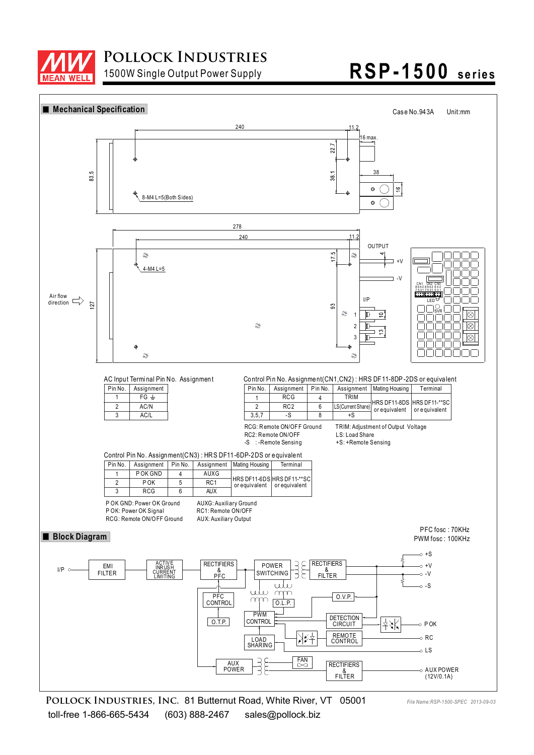

# 1500W Single Output Power Supply **RSP -1500 se rie s**



**Pollock Industries, Inc.** 81 Butternut Road, White River, VT 05001 toll-free 1-866-665-5434 (603) 888-2467 sales@pollock.biz

*File Name:RSP-1500-SPEC 2013-09-03*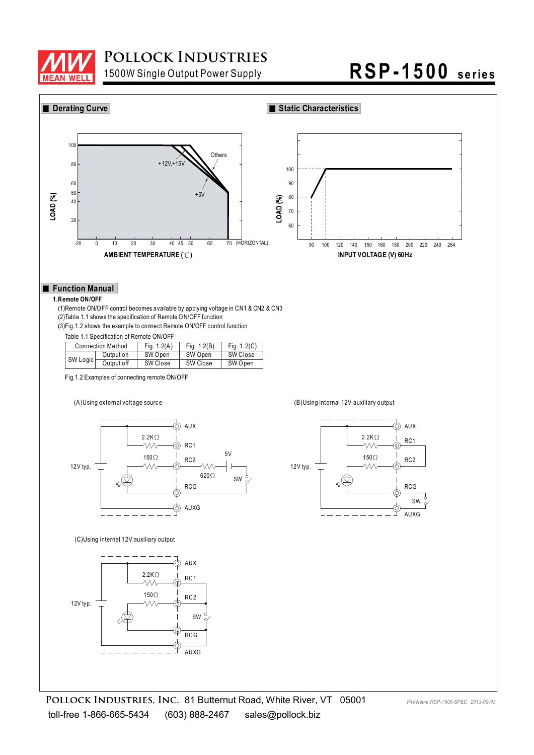

## **Pollock Industries,**

# 1500W Single Output Power Supply **RSP -1500 se rie s**



AUXG